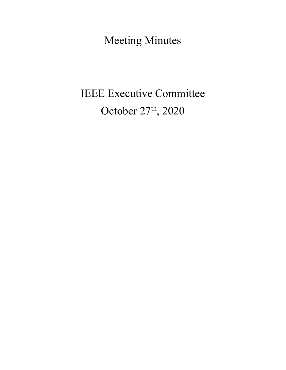Meeting Minutes

# IEEE Executive Committee October 27<sup>th</sup>, 2020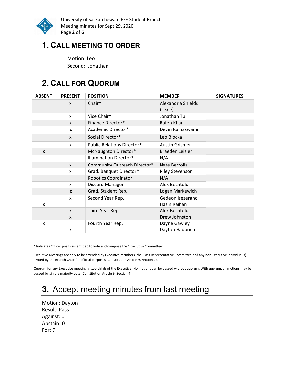

University of Saskatchewan IEEE Student Branch Meeting minutes for Sept 29, 2020 Page 2 of 6

### 1. CALL MEETING TO ORDER

Motion: Leo Second: Jonathan

# 2. CALL FOR QUORUM

| <b>ABSENT</b> | <b>PRESENT</b>   | <b>POSITION</b>                   | <b>MEMBER</b>          | <b>SIGNATURES</b> |
|---------------|------------------|-----------------------------------|------------------------|-------------------|
|               | $\boldsymbol{x}$ | Chair*                            | Alexandria Shields     |                   |
|               |                  |                                   | (Lexie)                |                   |
|               | $\mathbf{x}$     | Vice Chair*                       | Jonathan Tu            |                   |
|               | $\mathbf{x}$     | Finance Director*                 | Rafeh Khan             |                   |
|               | $\boldsymbol{x}$ | Academic Director*                | Devin Ramaswami        |                   |
|               | $\mathbf{x}$     | Social Director*                  | Leo Blocka             |                   |
|               | $\mathbf{x}$     | <b>Public Relations Director*</b> | <b>Austin Grismer</b>  |                   |
| X             |                  | McNaughton Director*              | Braeden Leisler        |                   |
|               |                  | <b>Illumination Director*</b>     | N/A                    |                   |
|               | $\mathbf{x}$     | Community Outreach Director*      | Nate Berzolla          |                   |
|               | X                | Grad. Banquet Director*           | <b>Riley Stevenson</b> |                   |
|               |                  | <b>Robotics Coordinator</b>       | N/A                    |                   |
|               | $\mathbf{x}$     | Discord Manager                   | Alex Bechtold          |                   |
|               | $\mathbf{x}$     | Grad. Student Rep.                | Logan Markewich        |                   |
|               | X                | Second Year Rep.                  | Gedeon Isezerano       |                   |
| X             |                  |                                   | Hasin Raihan           |                   |
|               | $\mathbf{x}$     | Third Year Rep.                   | Alex Bechtold          |                   |
|               | X                |                                   | Drew Johnston          |                   |
| x             |                  | Fourth Year Rep.                  | Dayne Gawley           |                   |
|               | X                |                                   | Dayton Haubrich        |                   |

\* Indicates Officer positions entitled to vote and compose the "Executive Committee".

Executive Meetings are only to be attended by Executive members, the Class Representative Committee and any non-Executive individual(s) invited by the Branch Chair for official purposes (Constitution Article 9, Section 2).

Quorum for any Executive meeting is two-thirds of the Executive. No motions can be passed without quorum. With quorum, all motions may be passed by simple majority vote (Constitution Article 9, Section 4).

# 3. Accept meeting minutes from last meeting

Motion: Dayton Result: Pass Against: 0 Abstain: 0 For: 7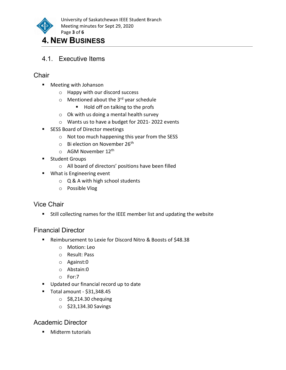

University of Saskatchewan IEEE Student Branch Meeting minutes for Sept 29, 2020 Page 3 of 6

### 4. NEW BUSINESS

4.1. Executive Items

#### **Chair**

- Meeting with Johanson
	- o Happy with our discord success
	- $\circ$  Mentioned about the 3<sup>rd</sup> year schedule
		- Hold off on talking to the profs
	- o Ok with us doing a mental health survey
	- o Wants us to have a budget for 2021- 2022 events
- **SESS Board of Director meetings** 
	- o Not too much happening this year from the SESS
	- $\circ$  Bi election on November 26<sup>th</sup>
	- $\circ$  AGM November 12<sup>th</sup>
- **Student Groups** 
	- o All board of directors' positions have been filled
- **What is Engineering event** 
	- o Q & A with high school students
	- o Possible Vlog

#### Vice Chair

Still collecting names for the IEEE member list and updating the website

#### Financial Director

- Reimbursement to Lexie for Discord Nitro & Boosts of \$48.38
	- o Motion: Leo
	- o Result: Pass
	- o Against:0
	- o Abstain:0
	- o For:7
- Updated our financial record up to date
- Total amount \$31,348.45
	- $\circ$  \$8,214.30 chequing
	- o \$23,134.30 Savings

#### Academic Director

**Midterm tutorials**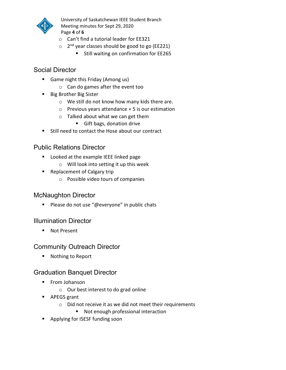

University of Saskatchewan IEEE Student Branch Meeting minutes for Sept 29, 2020 Page 4 of 6

- o Can't find a tutorial leader for EE321
- $\circ$  2<sup>nd</sup> year classes should be good to go (EE221)
	- **Still waiting on confirmation for EE265**

#### Social Director

- Game night this Friday (Among us)
	- o Can do games after the event too
- **Big Brother Big Sister** 
	- o We still do not know how many kids there are.
	- o Previous years attendance + 5 is our estimation
	- o Talked about what we can get them
		- Gift bags, donation drive
- Still need to contact the Hose about our contract

#### Public Relations Director

- **Looked at the example IEEE linked page** 
	- o Will look into setting it up this week
- **Replacement of Calgary trip** 
	- o Possible video tours of companies

#### McNaughton Director

**Please do not use "@everyone" in public chats** 

#### Illumination Director

■ Not Present

#### Community Outreach Director

■ Nothing to Report

#### Graduation Banquet Director

- **Filter** From Johanson
	- o Our best interest to do grad online
- APEGS grant
	- o Did not receive it as we did not meet their requirements
		- Not enough professional interaction
- Applying for ISESF funding soon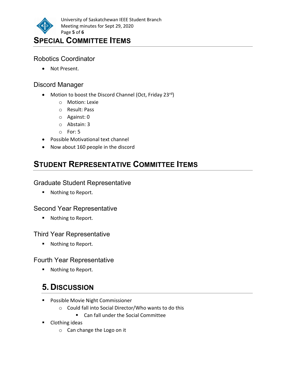

### SPECIAL COMMITTEE ITEMS

#### Robotics Coordinator

Not Present.

#### Discord Manager

- Motion to boost the Discord Channel (Oct, Friday 23 $rd$ )
	- o Motion: Lexie
	- o Result: Pass
	- o Against: 0
	- o Abstain: 3
	- o For: 5
- Possible Motivational text channel
- Now about 160 people in the discord

# STUDENT REPRESENTATIVE COMMITTEE ITEMS

#### Graduate Student Representative

■ Nothing to Report.

#### Second Year Representative

■ Nothing to Report.

#### Third Year Representative

■ Nothing to Report.

#### Fourth Year Representative

■ Nothing to Report.

# 5. DISCUSSION

- **Possible Movie Night Commissioner** 
	- o Could fall into Social Director/Who wants to do this
		- Can fall under the Social Committee
- Clothing ideas
	- o Can change the Logo on it